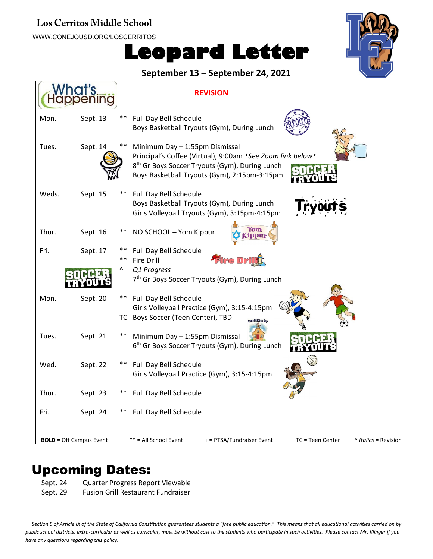#### **Los Cerritos Middle School**

WWW.CONEJOUSD.ORG/LOSCERRITOS

# **Leopard Letter**



#### **September 13 – September 24, 2021**

|                                |    | <b>REVISION</b>                                                                                                                                                                                            |
|--------------------------------|----|------------------------------------------------------------------------------------------------------------------------------------------------------------------------------------------------------------|
| Sept. 13<br>Mon.               | ** | Full Day Bell Schedule<br>Boys Basketball Tryouts (Gym), During Lunch                                                                                                                                      |
| Tues.<br>Sept. 14              |    | Minimum Day - 1:55pm Dismissal<br>Principal's Coffee (Virtual), 9:00am *See Zoom link below*<br>8 <sup>th</sup> Gr Boys Soccer Tryouts (Gym), During Lunch<br>Boys Basketball Tryouts (Gym), 2:15pm-3:15pm |
| Weds.<br>Sept. 15              |    | Full Day Bell Schedule<br>Boys Basketball Tryouts (Gym), During Lunch<br>Girls Volleyball Tryouts (Gym), 3:15pm-4:15pm                                                                                     |
| Thur.<br>Sept. 16              |    | rom<br>NO SCHOOL - Yom Kippur<br>התממותו                                                                                                                                                                   |
| Fri.<br>Sept. 17               |    | Full Day Bell Schedule<br><b>Fire Drill</b>                                                                                                                                                                |
|                                | ۸  | Q1 Progress<br>7 <sup>th</sup> Gr Boys Soccer Tryouts (Gym), During Lunch                                                                                                                                  |
| Sept. 20<br>Mon.               | ** | Full Day Bell Schedule<br>Girls Volleyball Practice (Gym), 3:15-4:15pm                                                                                                                                     |
|                                |    | TC Boys Soccer (Teen Center), TBD<br>arly Release Da                                                                                                                                                       |
| Tues.<br>Sept. 21              |    | Minimum Day - 1:55pm Dismissal<br>6 <sup>th</sup> Gr Boys Soccer Tryouts (Gym), During Lunch                                                                                                               |
| Wed.<br>Sept. 22               |    | Full Day Bell Schedule<br>Girls Volleyball Practice (Gym), 3:15-4:15pm                                                                                                                                     |
| Thur.<br>Sept. 23              |    | Full Day Bell Schedule                                                                                                                                                                                     |
| Sept. 24<br>Fri.               |    | Full Day Bell Schedule                                                                                                                                                                                     |
| <b>BOLD</b> = Off Campus Event |    | ** = All School Event<br>+ = PTSA/Fundraiser Event<br>TC = Teen Center<br>^ Italics = Revision                                                                                                             |

## Upcoming Dates:

- Sept. 24 Quarter Progress Report Viewable
- Sept. 29 Fusion Grill Restaurant Fundraiser

*Section 5 of Article IX of the State of California Constitution guarantees students a "free public education." This means that all educational activities carried on by public school districts, extra-curricular as well as curricular, must be without cost to the students who participate in such activities. Please contact Mr. Klinger if you have any questions regarding this policy.*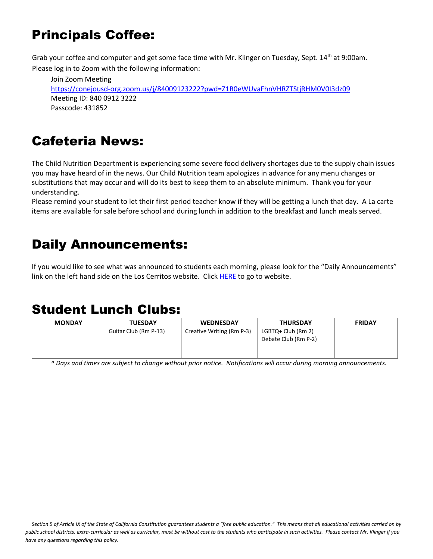# Principals Coffee:

Grab your coffee and computer and get some face time with Mr. Klinger on Tuesday, Sept. 14<sup>th</sup> at 9:00am. Please log in to Zoom with the following information:

Join Zoom Meeting <https://conejousd-org.zoom.us/j/84009123222?pwd=Z1R0eWUvaFhnVHRZTStjRHM0V0I3dz09> Meeting ID: 840 0912 3222 Passcode: 431852

# Cafeteria News:

The Child Nutrition Department is experiencing some severe food delivery shortages due to the supply chain issues you may have heard of in the news. Our Child Nutrition team apologizes in advance for any menu changes or substitutions that may occur and will do its best to keep them to an absolute minimum. Thank you for your understanding.

Please remind your student to let their first period teacher know if they will be getting a lunch that day. A La carte items are available for sale before school and during lunch in addition to the breakfast and lunch meals served.

# Daily Announcements:

If you would like to see what was announced to students each morning, please look for the "Daily Announcements" link on the left hand side on the Los Cerritos website. Clic[k HERE](https://www.conejousd.org/loscerritos/) to go to website.

## Student Lunch Clubs:

| <b>MONDAY</b> | <b>TUESDAY</b>        | <b>WEDNESDAY</b>          | <b>THURSDAY</b>                            | <b>FRIDAY</b> |
|---------------|-----------------------|---------------------------|--------------------------------------------|---------------|
|               | Guitar Club (Rm P-13) | Creative Writing (Rm P-3) | LGBTQ+ Club (Rm 2)<br>Debate Club (Rm P-2) |               |

*^ Days and times are subject to change without prior notice. Notifications will occur during morning announcements.*